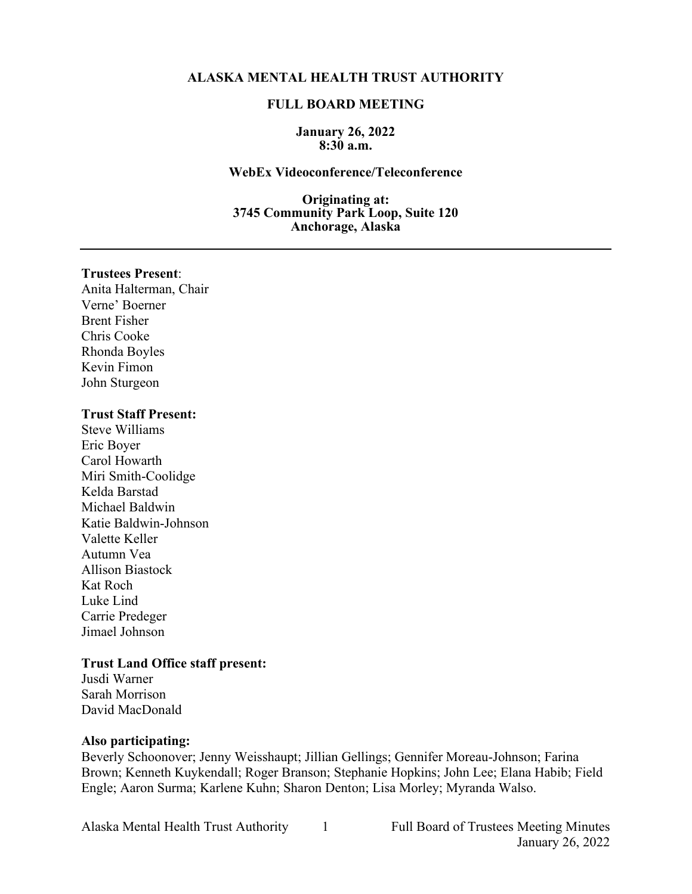### **ALASKA MENTAL HEALTH TRUST AUTHORITY**

### **FULL BOARD MEETING**

#### **January 26, 2022 8:30 a.m.**

#### **WebEx Videoconference/Teleconference**

**Originating at: 3745 Community Park Loop, Suite 120 Anchorage, Alaska**

### **Trustees Present**:

Anita Halterman, Chair Verne' Boerner Brent Fisher Chris Cooke Rhonda Boyles Kevin Fimon John Sturgeon

### **Trust Staff Present:**

Steve Williams Eric Boyer Carol Howarth Miri Smith-Coolidge Kelda Barstad Michael Baldwin Katie Baldwin-Johnson Valette Keller Autumn Vea Allison Biastock Kat Roch Luke Lind Carrie Predeger Jimael Johnson

### **Trust Land Office staff present:**

Jusdi Warner Sarah Morrison David MacDonald

#### **Also participating:**

Beverly Schoonover; Jenny Weisshaupt; Jillian Gellings; Gennifer Moreau-Johnson; Farina Brown; Kenneth Kuykendall; Roger Branson; Stephanie Hopkins; John Lee; Elana Habib; Field Engle; Aaron Surma; Karlene Kuhn; Sharon Denton; Lisa Morley; Myranda Walso.

Alaska Mental Health Trust Authority 1 Full Board of Trustees Meeting Minutes January 26, 2022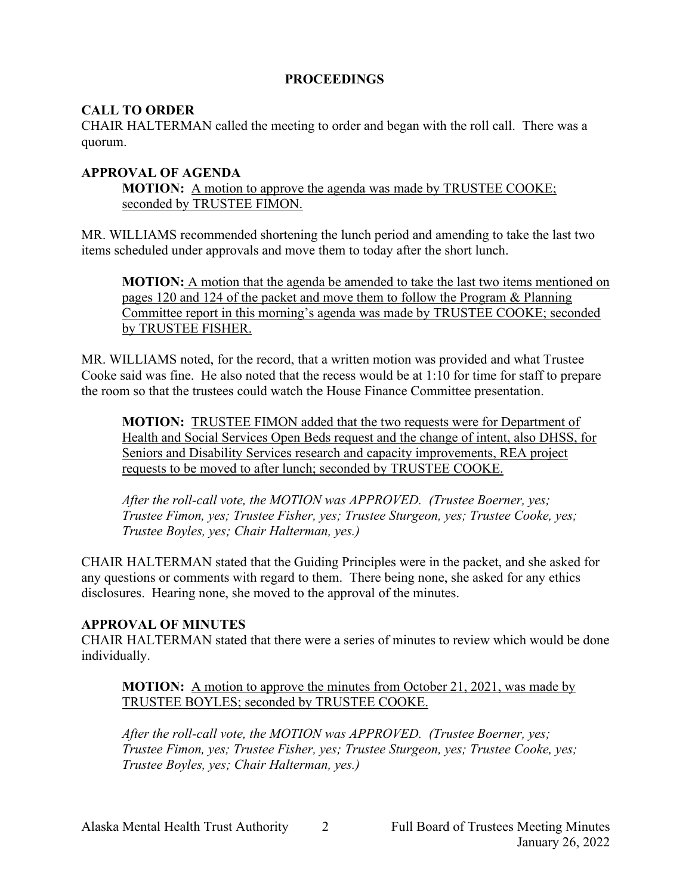## **PROCEEDINGS**

## **CALL TO ORDER**

CHAIR HALTERMAN called the meeting to order and began with the roll call. There was a quorum.

## **APPROVAL OF AGENDA**

**MOTION:** A motion to approve the agenda was made by TRUSTEE COOKE; seconded by TRUSTEE FIMON.

MR. WILLIAMS recommended shortening the lunch period and amending to take the last two items scheduled under approvals and move them to today after the short lunch.

**MOTION:** A motion that the agenda be amended to take the last two items mentioned on pages 120 and 124 of the packet and move them to follow the Program & Planning Committee report in this morning's agenda was made by TRUSTEE COOKE; seconded by TRUSTEE FISHER.

MR. WILLIAMS noted, for the record, that a written motion was provided and what Trustee Cooke said was fine. He also noted that the recess would be at 1:10 for time for staff to prepare the room so that the trustees could watch the House Finance Committee presentation.

**MOTION:** TRUSTEE FIMON added that the two requests were for Department of Health and Social Services Open Beds request and the change of intent, also DHSS, for Seniors and Disability Services research and capacity improvements, REA project requests to be moved to after lunch; seconded by TRUSTEE COOKE.

*After the roll-call vote, the MOTION was APPROVED. (Trustee Boerner, yes; Trustee Fimon, yes; Trustee Fisher, yes; Trustee Sturgeon, yes; Trustee Cooke, yes; Trustee Boyles, yes; Chair Halterman, yes.)*

CHAIR HALTERMAN stated that the Guiding Principles were in the packet, and she asked for any questions or comments with regard to them. There being none, she asked for any ethics disclosures. Hearing none, she moved to the approval of the minutes.

## **APPROVAL OF MINUTES**

CHAIR HALTERMAN stated that there were a series of minutes to review which would be done individually.

**MOTION:** A motion to approve the minutes from October 21, 2021, was made by TRUSTEE BOYLES; seconded by TRUSTEE COOKE.

*After the roll-call vote, the MOTION was APPROVED. (Trustee Boerner, yes; Trustee Fimon, yes; Trustee Fisher, yes; Trustee Sturgeon, yes; Trustee Cooke, yes; Trustee Boyles, yes; Chair Halterman, yes.)*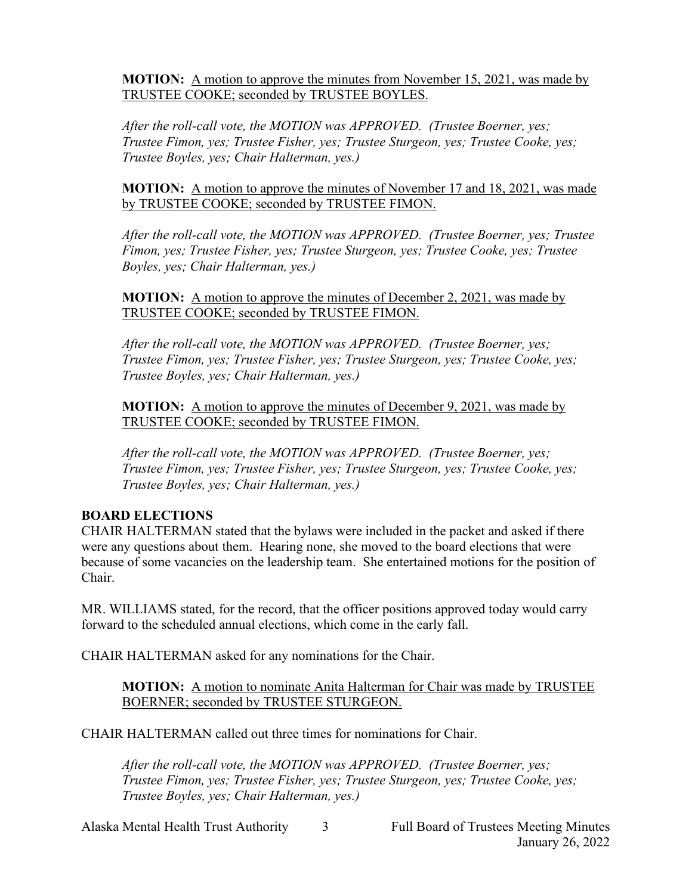**MOTION:** A motion to approve the minutes from November 15, 2021, was made by TRUSTEE COOKE; seconded by TRUSTEE BOYLES.

*After the roll-call vote, the MOTION was APPROVED. (Trustee Boerner, yes; Trustee Fimon, yes; Trustee Fisher, yes; Trustee Sturgeon, yes; Trustee Cooke, yes; Trustee Boyles, yes; Chair Halterman, yes.)*

**MOTION:** A motion to approve the minutes of November 17 and 18, 2021, was made by TRUSTEE COOKE; seconded by TRUSTEE FIMON.

*After the roll-call vote, the MOTION was APPROVED. (Trustee Boerner, yes; Trustee Fimon, yes; Trustee Fisher, yes; Trustee Sturgeon, yes; Trustee Cooke, yes; Trustee Boyles, yes; Chair Halterman, yes.)*

**MOTION:** A motion to approve the minutes of December 2, 2021, was made by TRUSTEE COOKE; seconded by TRUSTEE FIMON.

*After the roll-call vote, the MOTION was APPROVED. (Trustee Boerner, yes; Trustee Fimon, yes; Trustee Fisher, yes; Trustee Sturgeon, yes; Trustee Cooke, yes; Trustee Boyles, yes; Chair Halterman, yes.)*

**MOTION:** A motion to approve the minutes of December 9, 2021, was made by TRUSTEE COOKE; seconded by TRUSTEE FIMON.

*After the roll-call vote, the MOTION was APPROVED. (Trustee Boerner, yes; Trustee Fimon, yes; Trustee Fisher, yes; Trustee Sturgeon, yes; Trustee Cooke, yes; Trustee Boyles, yes; Chair Halterman, yes.)*

## **BOARD ELECTIONS**

CHAIR HALTERMAN stated that the bylaws were included in the packet and asked if there were any questions about them. Hearing none, she moved to the board elections that were because of some vacancies on the leadership team. She entertained motions for the position of Chair.

MR. WILLIAMS stated, for the record, that the officer positions approved today would carry forward to the scheduled annual elections, which come in the early fall.

CHAIR HALTERMAN asked for any nominations for the Chair.

**MOTION:** A motion to nominate Anita Halterman for Chair was made by TRUSTEE BOERNER; seconded by TRUSTEE STURGEON.

CHAIR HALTERMAN called out three times for nominations for Chair.

*After the roll-call vote, the MOTION was APPROVED. (Trustee Boerner, yes; Trustee Fimon, yes; Trustee Fisher, yes; Trustee Sturgeon, yes; Trustee Cooke, yes; Trustee Boyles, yes; Chair Halterman, yes.)*

Alaska Mental Health Trust Authority 3 Full Board of Trustees Meeting Minutes January 26, 2022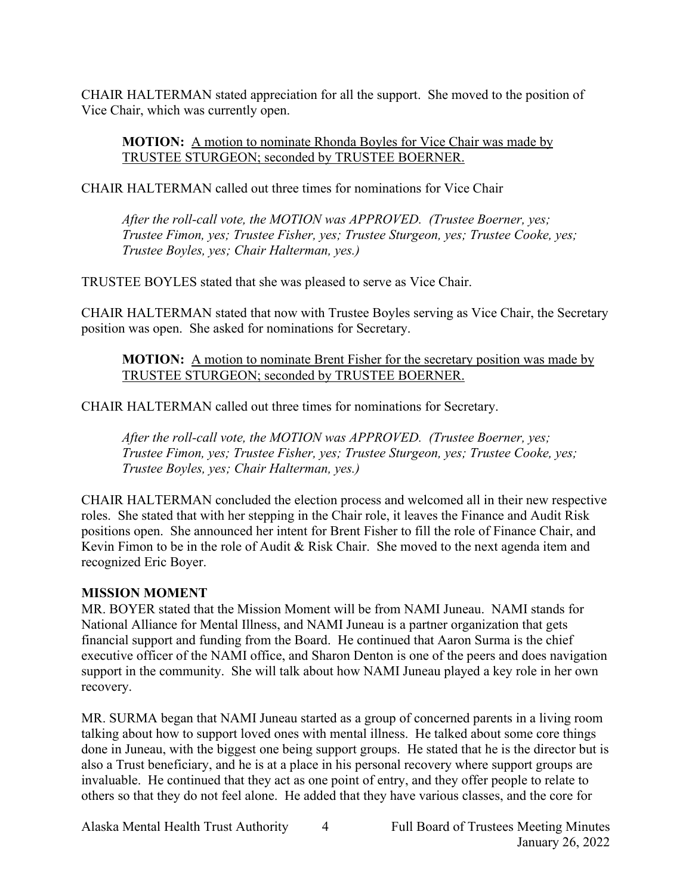CHAIR HALTERMAN stated appreciation for all the support. She moved to the position of Vice Chair, which was currently open.

**MOTION:** A motion to nominate Rhonda Boyles for Vice Chair was made by TRUSTEE STURGEON; seconded by TRUSTEE BOERNER.

CHAIR HALTERMAN called out three times for nominations for Vice Chair

*After the roll-call vote, the MOTION was APPROVED. (Trustee Boerner, yes; Trustee Fimon, yes; Trustee Fisher, yes; Trustee Sturgeon, yes; Trustee Cooke, yes; Trustee Boyles, yes; Chair Halterman, yes.)*

TRUSTEE BOYLES stated that she was pleased to serve as Vice Chair.

CHAIR HALTERMAN stated that now with Trustee Boyles serving as Vice Chair, the Secretary position was open. She asked for nominations for Secretary.

**MOTION:** A motion to nominate Brent Fisher for the secretary position was made by TRUSTEE STURGEON; seconded by TRUSTEE BOERNER.

CHAIR HALTERMAN called out three times for nominations for Secretary.

*After the roll-call vote, the MOTION was APPROVED. (Trustee Boerner, yes; Trustee Fimon, yes; Trustee Fisher, yes; Trustee Sturgeon, yes; Trustee Cooke, yes; Trustee Boyles, yes; Chair Halterman, yes.)*

CHAIR HALTERMAN concluded the election process and welcomed all in their new respective roles. She stated that with her stepping in the Chair role, it leaves the Finance and Audit Risk positions open. She announced her intent for Brent Fisher to fill the role of Finance Chair, and Kevin Fimon to be in the role of Audit & Risk Chair. She moved to the next agenda item and recognized Eric Boyer.

# **MISSION MOMENT**

MR. BOYER stated that the Mission Moment will be from NAMI Juneau. NAMI stands for National Alliance for Mental Illness, and NAMI Juneau is a partner organization that gets financial support and funding from the Board. He continued that Aaron Surma is the chief executive officer of the NAMI office, and Sharon Denton is one of the peers and does navigation support in the community. She will talk about how NAMI Juneau played a key role in her own recovery.

MR. SURMA began that NAMI Juneau started as a group of concerned parents in a living room talking about how to support loved ones with mental illness. He talked about some core things done in Juneau, with the biggest one being support groups. He stated that he is the director but is also a Trust beneficiary, and he is at a place in his personal recovery where support groups are invaluable. He continued that they act as one point of entry, and they offer people to relate to others so that they do not feel alone. He added that they have various classes, and the core for

Alaska Mental Health Trust Authority 4 Full Board of Trustees Meeting Minutes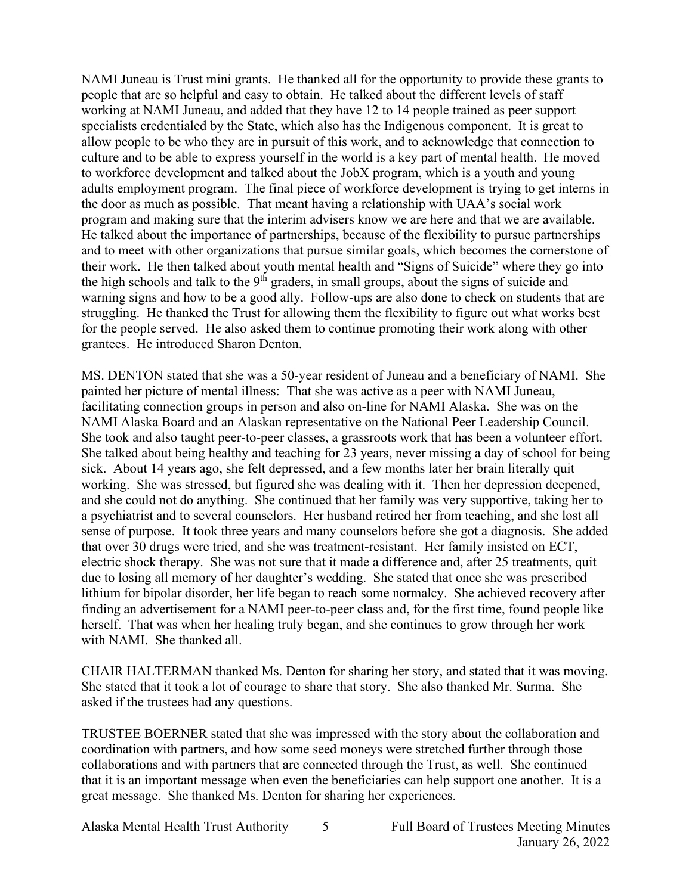NAMI Juneau is Trust mini grants. He thanked all for the opportunity to provide these grants to people that are so helpful and easy to obtain. He talked about the different levels of staff working at NAMI Juneau, and added that they have 12 to 14 people trained as peer support specialists credentialed by the State, which also has the Indigenous component. It is great to allow people to be who they are in pursuit of this work, and to acknowledge that connection to culture and to be able to express yourself in the world is a key part of mental health. He moved to workforce development and talked about the JobX program, which is a youth and young adults employment program. The final piece of workforce development is trying to get interns in the door as much as possible. That meant having a relationship with UAA's social work program and making sure that the interim advisers know we are here and that we are available. He talked about the importance of partnerships, because of the flexibility to pursue partnerships and to meet with other organizations that pursue similar goals, which becomes the cornerstone of their work. He then talked about youth mental health and "Signs of Suicide" where they go into the high schools and talk to the 9<sup>th</sup> graders, in small groups, about the signs of suicide and warning signs and how to be a good ally. Follow-ups are also done to check on students that are struggling. He thanked the Trust for allowing them the flexibility to figure out what works best for the people served. He also asked them to continue promoting their work along with other grantees. He introduced Sharon Denton.

MS. DENTON stated that she was a 50-year resident of Juneau and a beneficiary of NAMI. She painted her picture of mental illness: That she was active as a peer with NAMI Juneau, facilitating connection groups in person and also on-line for NAMI Alaska. She was on the NAMI Alaska Board and an Alaskan representative on the National Peer Leadership Council. She took and also taught peer-to-peer classes, a grassroots work that has been a volunteer effort. She talked about being healthy and teaching for 23 years, never missing a day of school for being sick. About 14 years ago, she felt depressed, and a few months later her brain literally quit working. She was stressed, but figured she was dealing with it. Then her depression deepened, and she could not do anything. She continued that her family was very supportive, taking her to a psychiatrist and to several counselors. Her husband retired her from teaching, and she lost all sense of purpose. It took three years and many counselors before she got a diagnosis. She added that over 30 drugs were tried, and she was treatment-resistant. Her family insisted on ECT, electric shock therapy. She was not sure that it made a difference and, after 25 treatments, quit due to losing all memory of her daughter's wedding. She stated that once she was prescribed lithium for bipolar disorder, her life began to reach some normalcy. She achieved recovery after finding an advertisement for a NAMI peer-to-peer class and, for the first time, found people like herself. That was when her healing truly began, and she continues to grow through her work with NAMI. She thanked all.

CHAIR HALTERMAN thanked Ms. Denton for sharing her story, and stated that it was moving. She stated that it took a lot of courage to share that story. She also thanked Mr. Surma. She asked if the trustees had any questions.

TRUSTEE BOERNER stated that she was impressed with the story about the collaboration and coordination with partners, and how some seed moneys were stretched further through those collaborations and with partners that are connected through the Trust, as well. She continued that it is an important message when even the beneficiaries can help support one another. It is a great message. She thanked Ms. Denton for sharing her experiences.

Alaska Mental Health Trust Authority 5 Full Board of Trustees Meeting Minutes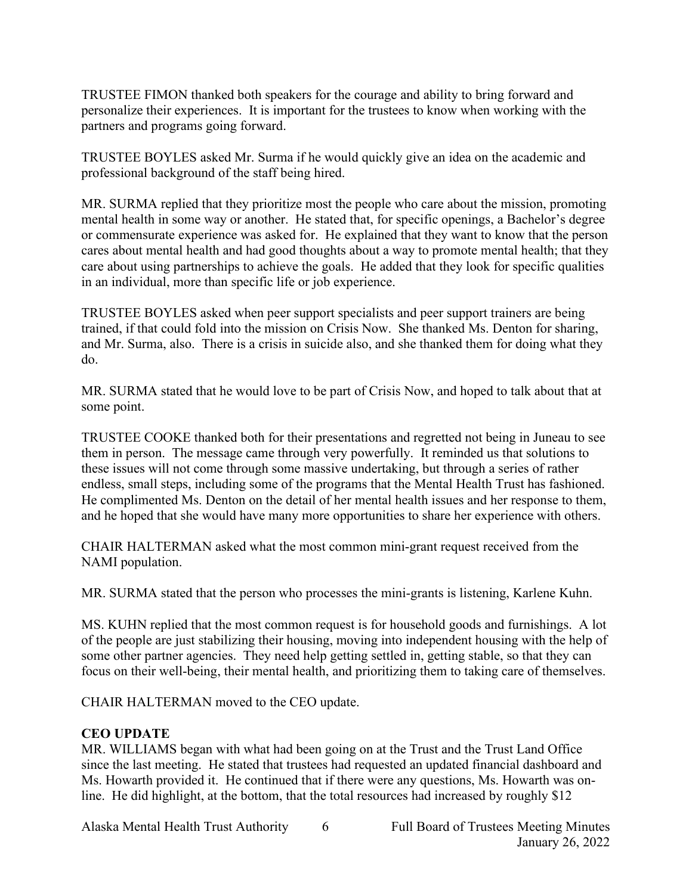TRUSTEE FIMON thanked both speakers for the courage and ability to bring forward and personalize their experiences. It is important for the trustees to know when working with the partners and programs going forward.

TRUSTEE BOYLES asked Mr. Surma if he would quickly give an idea on the academic and professional background of the staff being hired.

MR. SURMA replied that they prioritize most the people who care about the mission, promoting mental health in some way or another. He stated that, for specific openings, a Bachelor's degree or commensurate experience was asked for. He explained that they want to know that the person cares about mental health and had good thoughts about a way to promote mental health; that they care about using partnerships to achieve the goals. He added that they look for specific qualities in an individual, more than specific life or job experience.

TRUSTEE BOYLES asked when peer support specialists and peer support trainers are being trained, if that could fold into the mission on Crisis Now. She thanked Ms. Denton for sharing, and Mr. Surma, also. There is a crisis in suicide also, and she thanked them for doing what they do.

MR. SURMA stated that he would love to be part of Crisis Now, and hoped to talk about that at some point.

TRUSTEE COOKE thanked both for their presentations and regretted not being in Juneau to see them in person. The message came through very powerfully. It reminded us that solutions to these issues will not come through some massive undertaking, but through a series of rather endless, small steps, including some of the programs that the Mental Health Trust has fashioned. He complimented Ms. Denton on the detail of her mental health issues and her response to them, and he hoped that she would have many more opportunities to share her experience with others.

CHAIR HALTERMAN asked what the most common mini-grant request received from the NAMI population.

MR. SURMA stated that the person who processes the mini-grants is listening, Karlene Kuhn.

MS. KUHN replied that the most common request is for household goods and furnishings. A lot of the people are just stabilizing their housing, moving into independent housing with the help of some other partner agencies. They need help getting settled in, getting stable, so that they can focus on their well-being, their mental health, and prioritizing them to taking care of themselves.

CHAIR HALTERMAN moved to the CEO update.

# **CEO UPDATE**

MR. WILLIAMS began with what had been going on at the Trust and the Trust Land Office since the last meeting. He stated that trustees had requested an updated financial dashboard and Ms. Howarth provided it. He continued that if there were any questions, Ms. Howarth was online. He did highlight, at the bottom, that the total resources had increased by roughly \$12

Alaska Mental Health Trust Authority 6 Full Board of Trustees Meeting Minutes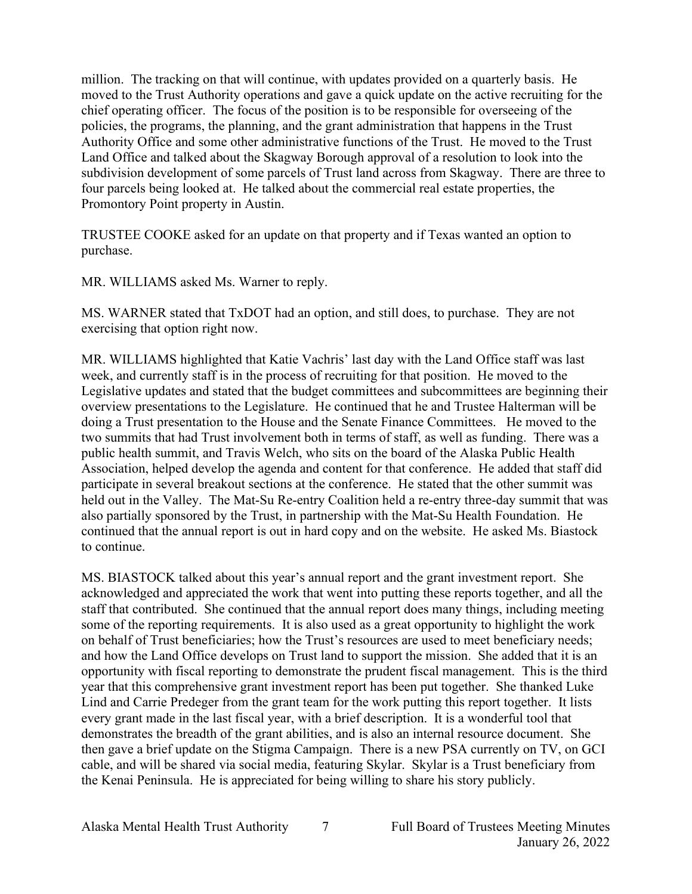million. The tracking on that will continue, with updates provided on a quarterly basis. He moved to the Trust Authority operations and gave a quick update on the active recruiting for the chief operating officer. The focus of the position is to be responsible for overseeing of the policies, the programs, the planning, and the grant administration that happens in the Trust Authority Office and some other administrative functions of the Trust. He moved to the Trust Land Office and talked about the Skagway Borough approval of a resolution to look into the subdivision development of some parcels of Trust land across from Skagway. There are three to four parcels being looked at. He talked about the commercial real estate properties, the Promontory Point property in Austin.

TRUSTEE COOKE asked for an update on that property and if Texas wanted an option to purchase.

MR. WILLIAMS asked Ms. Warner to reply.

MS. WARNER stated that TxDOT had an option, and still does, to purchase. They are not exercising that option right now.

MR. WILLIAMS highlighted that Katie Vachris' last day with the Land Office staff was last week, and currently staff is in the process of recruiting for that position. He moved to the Legislative updates and stated that the budget committees and subcommittees are beginning their overview presentations to the Legislature. He continued that he and Trustee Halterman will be doing a Trust presentation to the House and the Senate Finance Committees. He moved to the two summits that had Trust involvement both in terms of staff, as well as funding. There was a public health summit, and Travis Welch, who sits on the board of the Alaska Public Health Association, helped develop the agenda and content for that conference. He added that staff did participate in several breakout sections at the conference. He stated that the other summit was held out in the Valley. The Mat-Su Re-entry Coalition held a re-entry three-day summit that was also partially sponsored by the Trust, in partnership with the Mat-Su Health Foundation. He continued that the annual report is out in hard copy and on the website. He asked Ms. Biastock to continue.

MS. BIASTOCK talked about this year's annual report and the grant investment report. She acknowledged and appreciated the work that went into putting these reports together, and all the staff that contributed. She continued that the annual report does many things, including meeting some of the reporting requirements. It is also used as a great opportunity to highlight the work on behalf of Trust beneficiaries; how the Trust's resources are used to meet beneficiary needs; and how the Land Office develops on Trust land to support the mission. She added that it is an opportunity with fiscal reporting to demonstrate the prudent fiscal management. This is the third year that this comprehensive grant investment report has been put together. She thanked Luke Lind and Carrie Predeger from the grant team for the work putting this report together. It lists every grant made in the last fiscal year, with a brief description. It is a wonderful tool that demonstrates the breadth of the grant abilities, and is also an internal resource document. She then gave a brief update on the Stigma Campaign. There is a new PSA currently on TV, on GCI cable, and will be shared via social media, featuring Skylar. Skylar is a Trust beneficiary from the Kenai Peninsula. He is appreciated for being willing to share his story publicly.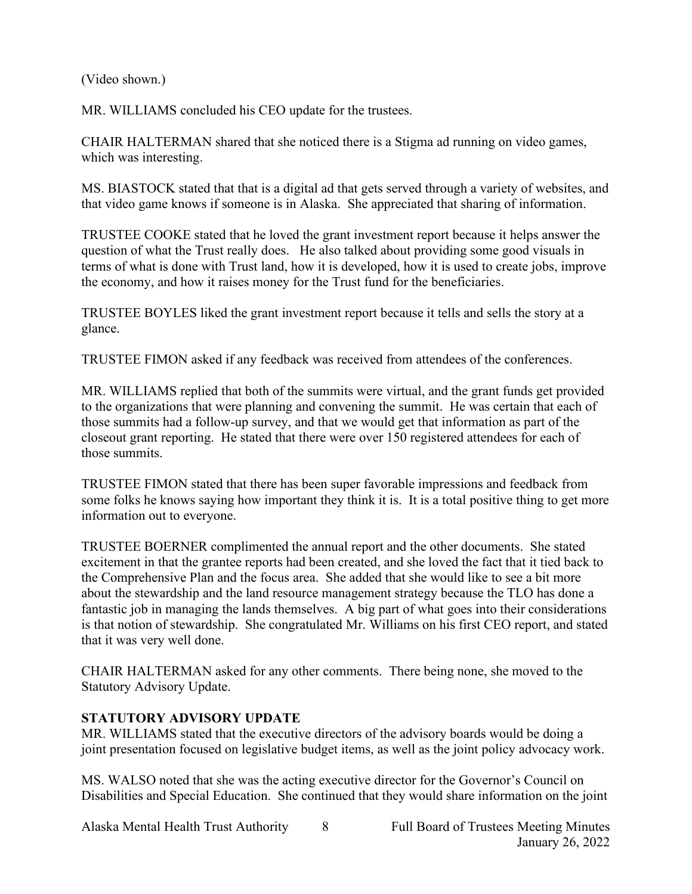(Video shown.)

MR. WILLIAMS concluded his CEO update for the trustees.

CHAIR HALTERMAN shared that she noticed there is a Stigma ad running on video games, which was interesting.

MS. BIASTOCK stated that that is a digital ad that gets served through a variety of websites, and that video game knows if someone is in Alaska. She appreciated that sharing of information.

TRUSTEE COOKE stated that he loved the grant investment report because it helps answer the question of what the Trust really does. He also talked about providing some good visuals in terms of what is done with Trust land, how it is developed, how it is used to create jobs, improve the economy, and how it raises money for the Trust fund for the beneficiaries.

TRUSTEE BOYLES liked the grant investment report because it tells and sells the story at a glance.

TRUSTEE FIMON asked if any feedback was received from attendees of the conferences.

MR. WILLIAMS replied that both of the summits were virtual, and the grant funds get provided to the organizations that were planning and convening the summit. He was certain that each of those summits had a follow-up survey, and that we would get that information as part of the closeout grant reporting. He stated that there were over 150 registered attendees for each of those summits.

TRUSTEE FIMON stated that there has been super favorable impressions and feedback from some folks he knows saying how important they think it is. It is a total positive thing to get more information out to everyone.

TRUSTEE BOERNER complimented the annual report and the other documents. She stated excitement in that the grantee reports had been created, and she loved the fact that it tied back to the Comprehensive Plan and the focus area. She added that she would like to see a bit more about the stewardship and the land resource management strategy because the TLO has done a fantastic job in managing the lands themselves. A big part of what goes into their considerations is that notion of stewardship. She congratulated Mr. Williams on his first CEO report, and stated that it was very well done.

CHAIR HALTERMAN asked for any other comments. There being none, she moved to the Statutory Advisory Update.

# **STATUTORY ADVISORY UPDATE**

MR. WILLIAMS stated that the executive directors of the advisory boards would be doing a joint presentation focused on legislative budget items, as well as the joint policy advocacy work.

MS. WALSO noted that she was the acting executive director for the Governor's Council on Disabilities and Special Education. She continued that they would share information on the joint

Alaska Mental Health Trust Authority 8 Full Board of Trustees Meeting Minutes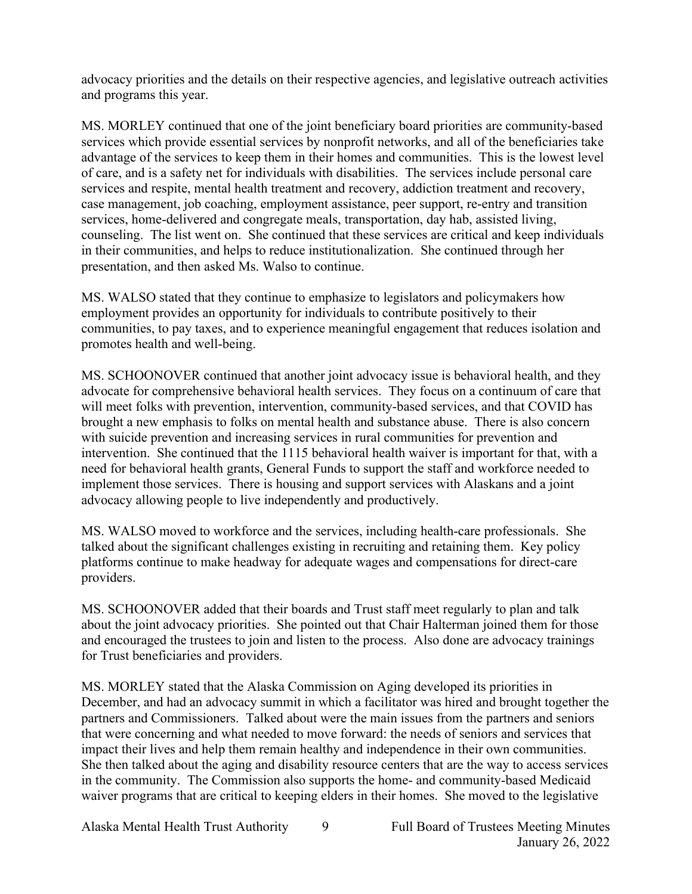advocacy priorities and the details on their respective agencies, and legislative outreach activities and programs this year.

MS. MORLEY continued that one of the joint beneficiary board priorities are community-based services which provide essential services by nonprofit networks, and all of the beneficiaries take advantage of the services to keep them in their homes and communities. This is the lowest level of care, and is a safety net for individuals with disabilities. The services include personal care services and respite, mental health treatment and recovery, addiction treatment and recovery, case management, job coaching, employment assistance, peer support, re-entry and transition services, home-delivered and congregate meals, transportation, day hab, assisted living, counseling. The list went on. She continued that these services are critical and keep individuals in their communities, and helps to reduce institutionalization. She continued through her presentation, and then asked Ms. Walso to continue.

MS. WALSO stated that they continue to emphasize to legislators and policymakers how employment provides an opportunity for individuals to contribute positively to their communities, to pay taxes, and to experience meaningful engagement that reduces isolation and promotes health and well-being.

MS. SCHOONOVER continued that another joint advocacy issue is behavioral health, and they advocate for comprehensive behavioral health services. They focus on a continuum of care that will meet folks with prevention, intervention, community-based services, and that COVID has brought a new emphasis to folks on mental health and substance abuse. There is also concern with suicide prevention and increasing services in rural communities for prevention and intervention. She continued that the 1115 behavioral health waiver is important for that, with a need for behavioral health grants, General Funds to support the staff and workforce needed to implement those services. There is housing and support services with Alaskans and a joint advocacy allowing people to live independently and productively.

MS. WALSO moved to workforce and the services, including health-care professionals. She talked about the significant challenges existing in recruiting and retaining them. Key policy platforms continue to make headway for adequate wages and compensations for direct-care providers.

MS. SCHOONOVER added that their boards and Trust staff meet regularly to plan and talk about the joint advocacy priorities. She pointed out that Chair Halterman joined them for those and encouraged the trustees to join and listen to the process. Also done are advocacy trainings for Trust beneficiaries and providers.

MS. MORLEY stated that the Alaska Commission on Aging developed its priorities in December, and had an advocacy summit in which a facilitator was hired and brought together the partners and Commissioners. Talked about were the main issues from the partners and seniors that were concerning and what needed to move forward: the needs of seniors and services that impact their lives and help them remain healthy and independence in their own communities. She then talked about the aging and disability resource centers that are the way to access services in the community. The Commission also supports the home- and community-based Medicaid waiver programs that are critical to keeping elders in their homes. She moved to the legislative

Alaska Mental Health Trust Authority 9 Full Board of Trustees Meeting Minutes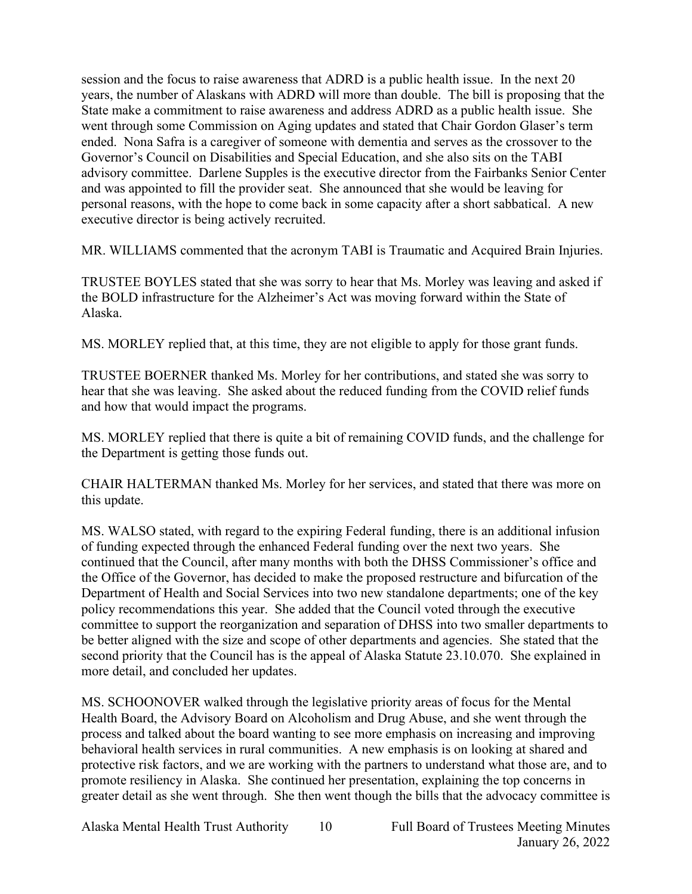session and the focus to raise awareness that ADRD is a public health issue. In the next 20 years, the number of Alaskans with ADRD will more than double. The bill is proposing that the State make a commitment to raise awareness and address ADRD as a public health issue. She went through some Commission on Aging updates and stated that Chair Gordon Glaser's term ended. Nona Safra is a caregiver of someone with dementia and serves as the crossover to the Governor's Council on Disabilities and Special Education, and she also sits on the TABI advisory committee. Darlene Supples is the executive director from the Fairbanks Senior Center and was appointed to fill the provider seat. She announced that she would be leaving for personal reasons, with the hope to come back in some capacity after a short sabbatical. A new executive director is being actively recruited.

MR. WILLIAMS commented that the acronym TABI is Traumatic and Acquired Brain Injuries.

TRUSTEE BOYLES stated that she was sorry to hear that Ms. Morley was leaving and asked if the BOLD infrastructure for the Alzheimer's Act was moving forward within the State of Alaska.

MS. MORLEY replied that, at this time, they are not eligible to apply for those grant funds.

TRUSTEE BOERNER thanked Ms. Morley for her contributions, and stated she was sorry to hear that she was leaving. She asked about the reduced funding from the COVID relief funds and how that would impact the programs.

MS. MORLEY replied that there is quite a bit of remaining COVID funds, and the challenge for the Department is getting those funds out.

CHAIR HALTERMAN thanked Ms. Morley for her services, and stated that there was more on this update.

MS. WALSO stated, with regard to the expiring Federal funding, there is an additional infusion of funding expected through the enhanced Federal funding over the next two years. She continued that the Council, after many months with both the DHSS Commissioner's office and the Office of the Governor, has decided to make the proposed restructure and bifurcation of the Department of Health and Social Services into two new standalone departments; one of the key policy recommendations this year. She added that the Council voted through the executive committee to support the reorganization and separation of DHSS into two smaller departments to be better aligned with the size and scope of other departments and agencies. She stated that the second priority that the Council has is the appeal of Alaska Statute 23.10.070. She explained in more detail, and concluded her updates.

MS. SCHOONOVER walked through the legislative priority areas of focus for the Mental Health Board, the Advisory Board on Alcoholism and Drug Abuse, and she went through the process and talked about the board wanting to see more emphasis on increasing and improving behavioral health services in rural communities. A new emphasis is on looking at shared and protective risk factors, and we are working with the partners to understand what those are, and to promote resiliency in Alaska. She continued her presentation, explaining the top concerns in greater detail as she went through. She then went though the bills that the advocacy committee is

Alaska Mental Health Trust Authority 10 Full Board of Trustees Meeting Minutes

January 26, 2022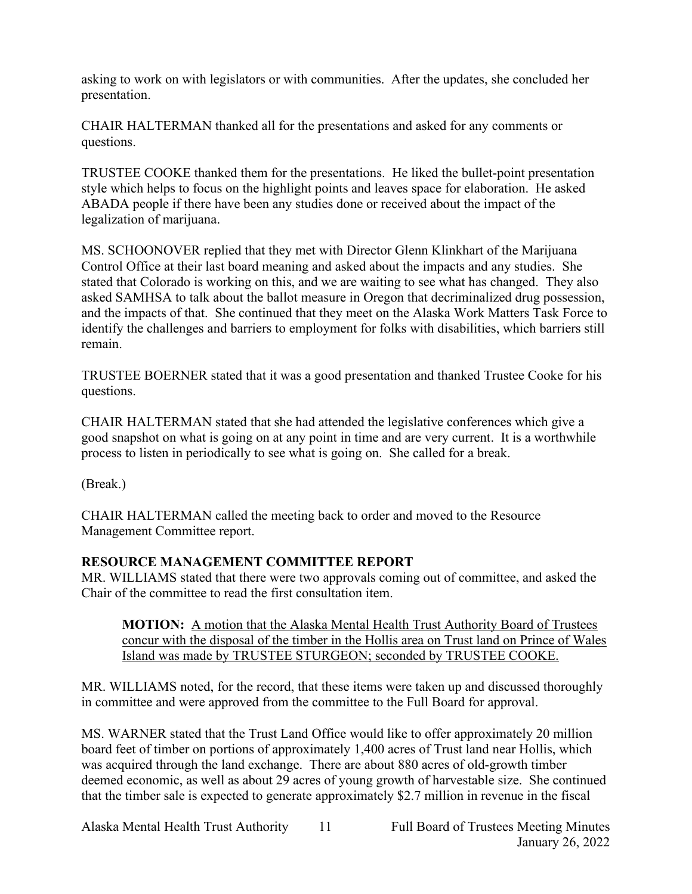asking to work on with legislators or with communities. After the updates, she concluded her presentation.

CHAIR HALTERMAN thanked all for the presentations and asked for any comments or questions.

TRUSTEE COOKE thanked them for the presentations. He liked the bullet-point presentation style which helps to focus on the highlight points and leaves space for elaboration. He asked ABADA people if there have been any studies done or received about the impact of the legalization of marijuana.

MS. SCHOONOVER replied that they met with Director Glenn Klinkhart of the Marijuana Control Office at their last board meaning and asked about the impacts and any studies. She stated that Colorado is working on this, and we are waiting to see what has changed. They also asked SAMHSA to talk about the ballot measure in Oregon that decriminalized drug possession, and the impacts of that. She continued that they meet on the Alaska Work Matters Task Force to identify the challenges and barriers to employment for folks with disabilities, which barriers still remain.

TRUSTEE BOERNER stated that it was a good presentation and thanked Trustee Cooke for his questions.

CHAIR HALTERMAN stated that she had attended the legislative conferences which give a good snapshot on what is going on at any point in time and are very current. It is a worthwhile process to listen in periodically to see what is going on. She called for a break.

(Break.)

CHAIR HALTERMAN called the meeting back to order and moved to the Resource Management Committee report.

# **RESOURCE MANAGEMENT COMMITTEE REPORT**

MR. WILLIAMS stated that there were two approvals coming out of committee, and asked the Chair of the committee to read the first consultation item.

**MOTION:** A motion that the Alaska Mental Health Trust Authority Board of Trustees concur with the disposal of the timber in the Hollis area on Trust land on Prince of Wales Island was made by TRUSTEE STURGEON; seconded by TRUSTEE COOKE.

MR. WILLIAMS noted, for the record, that these items were taken up and discussed thoroughly in committee and were approved from the committee to the Full Board for approval.

MS. WARNER stated that the Trust Land Office would like to offer approximately 20 million board feet of timber on portions of approximately 1,400 acres of Trust land near Hollis, which was acquired through the land exchange. There are about 880 acres of old-growth timber deemed economic, as well as about 29 acres of young growth of harvestable size. She continued that the timber sale is expected to generate approximately \$2.7 million in revenue in the fiscal

Alaska Mental Health Trust Authority 11 Full Board of Trustees Meeting Minutes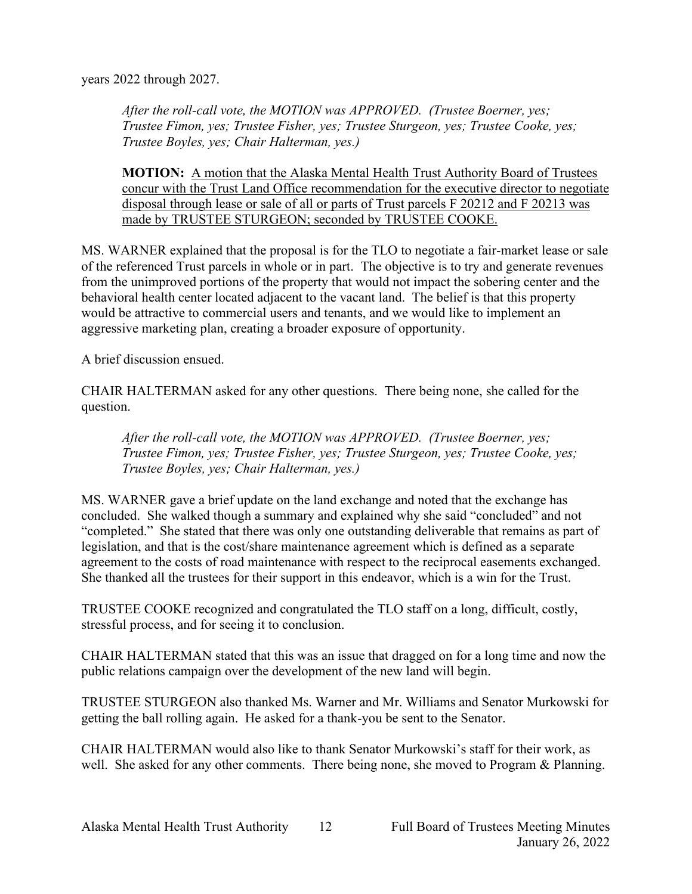years 2022 through 2027.

*After the roll-call vote, the MOTION was APPROVED. (Trustee Boerner, yes; Trustee Fimon, yes; Trustee Fisher, yes; Trustee Sturgeon, yes; Trustee Cooke, yes; Trustee Boyles, yes; Chair Halterman, yes.)*

**MOTION:** A motion that the Alaska Mental Health Trust Authority Board of Trustees concur with the Trust Land Office recommendation for the executive director to negotiate disposal through lease or sale of all or parts of Trust parcels F 20212 and F 20213 was made by TRUSTEE STURGEON; seconded by TRUSTEE COOKE.

MS. WARNER explained that the proposal is for the TLO to negotiate a fair-market lease or sale of the referenced Trust parcels in whole or in part. The objective is to try and generate revenues from the unimproved portions of the property that would not impact the sobering center and the behavioral health center located adjacent to the vacant land. The belief is that this property would be attractive to commercial users and tenants, and we would like to implement an aggressive marketing plan, creating a broader exposure of opportunity.

A brief discussion ensued.

CHAIR HALTERMAN asked for any other questions. There being none, she called for the question.

*After the roll-call vote, the MOTION was APPROVED. (Trustee Boerner, yes; Trustee Fimon, yes; Trustee Fisher, yes; Trustee Sturgeon, yes; Trustee Cooke, yes; Trustee Boyles, yes; Chair Halterman, yes.)*

MS. WARNER gave a brief update on the land exchange and noted that the exchange has concluded. She walked though a summary and explained why she said "concluded" and not "completed." She stated that there was only one outstanding deliverable that remains as part of legislation, and that is the cost/share maintenance agreement which is defined as a separate agreement to the costs of road maintenance with respect to the reciprocal easements exchanged. She thanked all the trustees for their support in this endeavor, which is a win for the Trust.

TRUSTEE COOKE recognized and congratulated the TLO staff on a long, difficult, costly, stressful process, and for seeing it to conclusion.

CHAIR HALTERMAN stated that this was an issue that dragged on for a long time and now the public relations campaign over the development of the new land will begin.

TRUSTEE STURGEON also thanked Ms. Warner and Mr. Williams and Senator Murkowski for getting the ball rolling again. He asked for a thank-you be sent to the Senator.

CHAIR HALTERMAN would also like to thank Senator Murkowski's staff for their work, as well. She asked for any other comments. There being none, she moved to Program & Planning.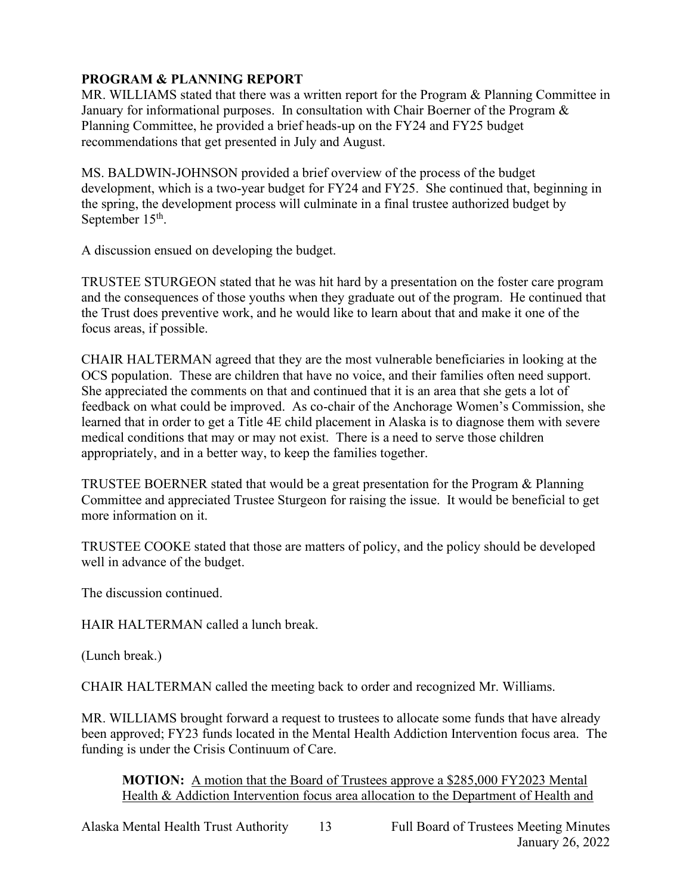# **PROGRAM & PLANNING REPORT**

MR. WILLIAMS stated that there was a written report for the Program & Planning Committee in January for informational purposes. In consultation with Chair Boerner of the Program & Planning Committee, he provided a brief heads-up on the FY24 and FY25 budget recommendations that get presented in July and August.

MS. BALDWIN-JOHNSON provided a brief overview of the process of the budget development, which is a two-year budget for FY24 and FY25. She continued that, beginning in the spring, the development process will culminate in a final trustee authorized budget by September 15<sup>th</sup>.

A discussion ensued on developing the budget.

TRUSTEE STURGEON stated that he was hit hard by a presentation on the foster care program and the consequences of those youths when they graduate out of the program. He continued that the Trust does preventive work, and he would like to learn about that and make it one of the focus areas, if possible.

CHAIR HALTERMAN agreed that they are the most vulnerable beneficiaries in looking at the OCS population. These are children that have no voice, and their families often need support. She appreciated the comments on that and continued that it is an area that she gets a lot of feedback on what could be improved. As co-chair of the Anchorage Women's Commission, she learned that in order to get a Title 4E child placement in Alaska is to diagnose them with severe medical conditions that may or may not exist. There is a need to serve those children appropriately, and in a better way, to keep the families together.

TRUSTEE BOERNER stated that would be a great presentation for the Program & Planning Committee and appreciated Trustee Sturgeon for raising the issue. It would be beneficial to get more information on it.

TRUSTEE COOKE stated that those are matters of policy, and the policy should be developed well in advance of the budget.

The discussion continued.

HAIR HALTERMAN called a lunch break.

(Lunch break.)

CHAIR HALTERMAN called the meeting back to order and recognized Mr. Williams.

MR. WILLIAMS brought forward a request to trustees to allocate some funds that have already been approved; FY23 funds located in the Mental Health Addiction Intervention focus area. The funding is under the Crisis Continuum of Care.

**MOTION:** A motion that the Board of Trustees approve a \$285,000 FY2023 Mental Health & Addiction Intervention focus area allocation to the Department of Health and

Alaska Mental Health Trust Authority 13 Full Board of Trustees Meeting Minutes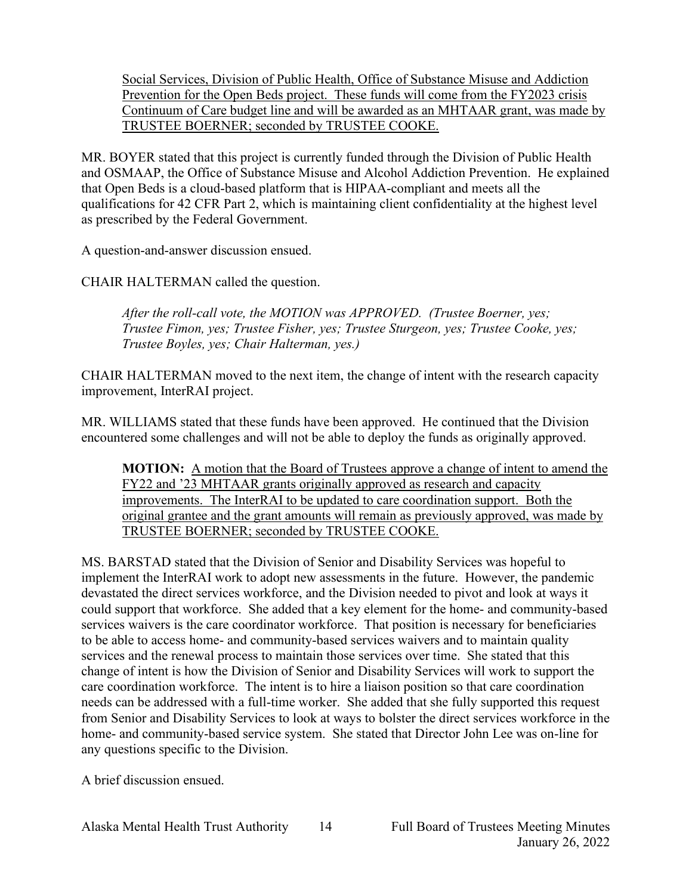Social Services, Division of Public Health, Office of Substance Misuse and Addiction Prevention for the Open Beds project. These funds will come from the FY2023 crisis Continuum of Care budget line and will be awarded as an MHTAAR grant, was made by TRUSTEE BOERNER; seconded by TRUSTEE COOKE.

MR. BOYER stated that this project is currently funded through the Division of Public Health and OSMAAP, the Office of Substance Misuse and Alcohol Addiction Prevention. He explained that Open Beds is a cloud-based platform that is HIPAA-compliant and meets all the qualifications for 42 CFR Part 2, which is maintaining client confidentiality at the highest level as prescribed by the Federal Government.

A question-and-answer discussion ensued.

CHAIR HALTERMAN called the question.

*After the roll-call vote, the MOTION was APPROVED. (Trustee Boerner, yes; Trustee Fimon, yes; Trustee Fisher, yes; Trustee Sturgeon, yes; Trustee Cooke, yes; Trustee Boyles, yes; Chair Halterman, yes.)*

CHAIR HALTERMAN moved to the next item, the change of intent with the research capacity improvement, InterRAI project.

MR. WILLIAMS stated that these funds have been approved. He continued that the Division encountered some challenges and will not be able to deploy the funds as originally approved.

**MOTION:** A motion that the Board of Trustees approve a change of intent to amend the FY22 and '23 MHTAAR grants originally approved as research and capacity improvements. The InterRAI to be updated to care coordination support. Both the original grantee and the grant amounts will remain as previously approved, was made by TRUSTEE BOERNER; seconded by TRUSTEE COOKE.

MS. BARSTAD stated that the Division of Senior and Disability Services was hopeful to implement the InterRAI work to adopt new assessments in the future. However, the pandemic devastated the direct services workforce, and the Division needed to pivot and look at ways it could support that workforce. She added that a key element for the home- and community-based services waivers is the care coordinator workforce. That position is necessary for beneficiaries to be able to access home- and community-based services waivers and to maintain quality services and the renewal process to maintain those services over time. She stated that this change of intent is how the Division of Senior and Disability Services will work to support the care coordination workforce. The intent is to hire a liaison position so that care coordination needs can be addressed with a full-time worker. She added that she fully supported this request from Senior and Disability Services to look at ways to bolster the direct services workforce in the home- and community-based service system. She stated that Director John Lee was on-line for any questions specific to the Division.

A brief discussion ensued.